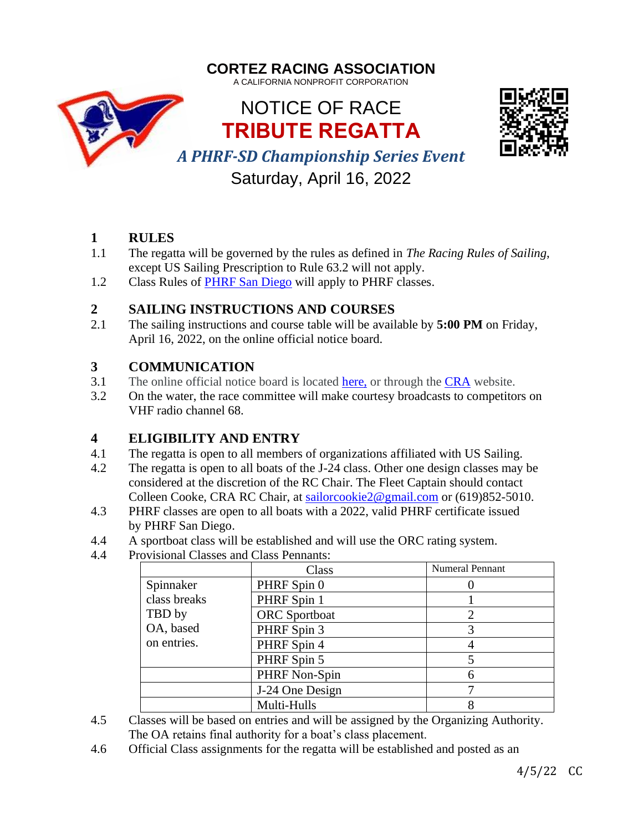



Saturday, April 16, 2022

- **1 RULES**
- 1.1 The regatta will be governed by the rules as defined in *The Racing Rules of Sailing*, except US Sailing Prescription to Rule 63.2 will not apply.
- 1.2 Class Rules of [PHRF San Diego](https://www.phrfsandiego.org/) will apply to PHRF classes.

## **2 SAILING INSTRUCTIONS AND COURSES**

2.1 The sailing instructions and course table will be available by **5:00 PM** on Friday, April 16, 2022, on the online official notice board.

## **3 COMMUNICATION**

- 3.1 The online official notice board is located [here,](https://www.regattanetwork.com/event/24461) or through the [CRA](http://cortezracing.com/) website.
- 3.2 On the water, the race committee will make courtesy broadcasts to competitors on VHF radio channel 68.

# **4 ELIGIBILITY AND ENTRY**

- 4.1 The regatta is open to all members of organizations affiliated with US Sailing.
- 4.2 The regatta is open to all boats of the J-24 class. Other one design classes may be considered at the discretion of the RC Chair. The Fleet Captain should contact Colleen Cooke, CRA RC Chair, at [sailorcookie2@gmail.com](mailto:sailorcookie2@gmail.com) or (619)852-5010.
- 4.3 PHRF classes are open to all boats with a 2022, valid PHRF certificate issued by PHRF San Diego.
- 4.4 A sportboat class will be established and will use the ORC rating system.
- 4.4 Provisional Classes and Class Pennants:

|              | Class                | <b>Numeral Pennant</b> |
|--------------|----------------------|------------------------|
| Spinnaker    | PHRF Spin 0          |                        |
| class breaks | PHRF Spin 1          |                        |
| TBD by       | <b>ORC</b> Sportboat |                        |
| OA, based    | PHRF Spin 3          |                        |
| on entries.  | PHRF Spin 4          |                        |
|              | PHRF Spin 5          |                        |
|              | PHRF Non-Spin        |                        |
|              | J-24 One Design      |                        |
|              | Multi-Hulls          |                        |

4.5 Classes will be based on entries and will be assigned by the Organizing Authority. The OA retains final authority for a boat's class placement.

4.6 Official Class assignments for the regatta will be established and posted as an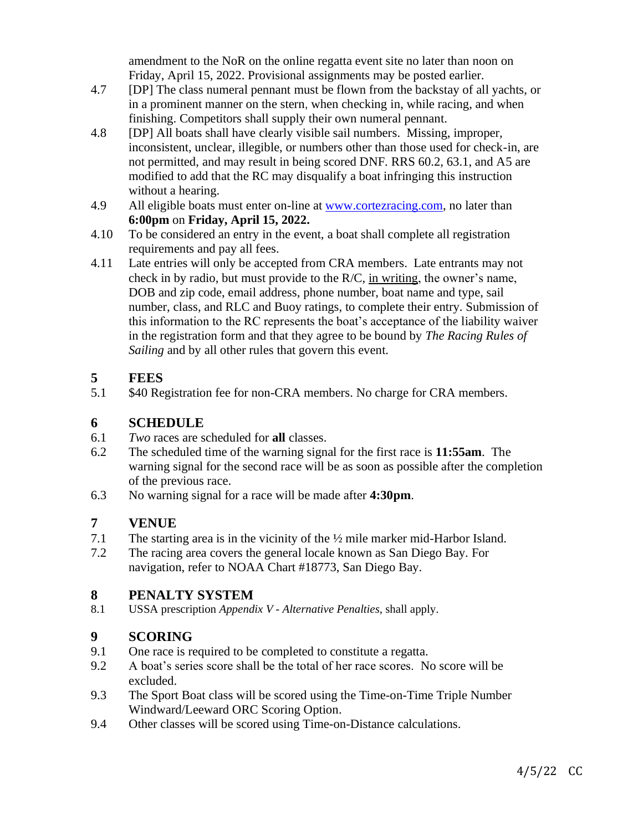amendment to the NoR on the online regatta event site no later than noon on Friday, April 15, 2022. Provisional assignments may be posted earlier.

- 4.7 [DP] The class numeral pennant must be flown from the backstay of all yachts, or in a prominent manner on the stern, when checking in, while racing, and when finishing. Competitors shall supply their own numeral pennant.
- 4.8 [DP] All boats shall have clearly visible sail numbers. Missing, improper, inconsistent, unclear, illegible, or numbers other than those used for check-in, are not permitted, and may result in being scored DNF. RRS 60.2, 63.1, and A5 are modified to add that the RC may disqualify a boat infringing this instruction without a hearing.
- 4.9 All eligible boats must enter on-line at [www.cortezracing.com,](http://www.cortezracing.com/) no later than **6:00pm** on **Friday, April 15, 2022.**
- 4.10 To be considered an entry in the event, a boat shall complete all registration requirements and pay all fees.
- 4.11 Late entries will only be accepted from CRA members. Late entrants may not check in by radio, but must provide to the R/C, in writing, the owner's name, DOB and zip code, email address, phone number, boat name and type, sail number, class, and RLC and Buoy ratings, to complete their entry. Submission of this information to the RC represents the boat's acceptance of the liability waiver in the registration form and that they agree to be bound by *The Racing Rules of Sailing* and by all other rules that govern this event.

### **5 FEES**

5.1 \$40 Registration fee for non-CRA members. No charge for CRA members.

#### **6 SCHEDULE**

- 6.1 *Two* races are scheduled for **all** classes.
- 6.2 The scheduled time of the warning signal for the first race is **11:55am**. The warning signal for the second race will be as soon as possible after the completion of the previous race.
- 6.3 No warning signal for a race will be made after **4:30pm**.

#### **7 VENUE**

- 7.1 The starting area is in the vicinity of the ½ mile marker mid-Harbor Island.
- 7.2 The racing area covers the general locale known as San Diego Bay. For navigation, refer to NOAA Chart #18773, San Diego Bay.

### **8 PENALTY SYSTEM**

8.1 USSA prescription *Appendix V - Alternative Penalties*, shall apply.

### **9 SCORING**

- 9.1 One race is required to be completed to constitute a regatta.
- 9.2 A boat's series score shall be the total of her race scores. No score will be excluded.
- 9.3 The Sport Boat class will be scored using the Time-on-Time Triple Number Windward/Leeward ORC Scoring Option.
- 9.4 Other classes will be scored using Time-on-Distance calculations.